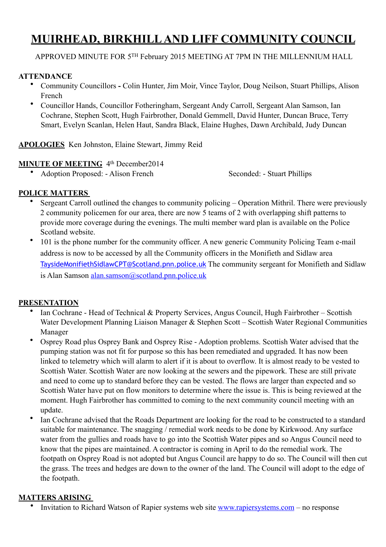# **MUIRHEAD, BIRKHILL AND LIFF COMMUNITY COUNCIL**

APPROVED MINUTE FOR 5TH February 2015 MEETING AT 7PM IN THE MILLENNIUM HALL

#### **ATTENDANCE**

- Community Councillors **-** Colin Hunter, Jim Moir, Vince Taylor, Doug Neilson, Stuart Phillips, Alison French
- Councillor Hands, Councillor Fotheringham, Sergeant Andy Carroll, Sergeant Alan Samson, Ian Cochrane, Stephen Scott, Hugh Fairbrother, Donald Gemmell, David Hunter, Duncan Bruce, Terry Smart, Evelyn Scanlan, Helen Haut, Sandra Black, Elaine Hughes, Dawn Archibald, Judy Duncan

#### **APOLOGIES** Ken Johnston, Elaine Stewart, Jimmy Reid

#### **MINUTE OF MEETING** 4<sup>th</sup> December 2014

• Adoption Proposed: - Alison French Seconded: - Stuart Phillips

#### **POLICE MATTERS**

- Sergeant Carroll outlined the changes to community policing Operation Mithril. There were previously 2 community policemen for our area, there are now 5 teams of 2 with overlapping shift patterns to provide more coverage during the evenings. The multi member ward plan is available on the Police Scotland website.
- 101 is the phone number for the community officer. A new generic Community Policing Team e-mail address is now to be accessed by all the Community officers in the Monifieth and Sidlaw area [TaysideMonifiethSidlawCPT@Scotland.pnn.police.uk](mailto:TaysideMonifiethSidlawCPT@Scotland.pnn.police.uk) The community sergeant for Monifieth and Sidlaw is Alan Samson [alan.samson@scotland.pnn.police.uk](mailto:alan.samson@scotland.pnn.police.uk)

#### **PRESENTATION**

- Ian Cochrane Head of Technical & Property Services, Angus Council, Hugh Fairbrother Scottish Water Development Planning Liaison Manager & Stephen Scott – Scottish Water Regional Communities Manager
- Osprey Road plus Osprey Bank and Osprey Rise Adoption problems. Scottish Water advised that the pumping station was not fit for purpose so this has been remediated and upgraded. It has now been linked to telemetry which will alarm to alert if it is about to overflow. It is almost ready to be vested to Scottish Water. Scottish Water are now looking at the sewers and the pipework. These are still private and need to come up to standard before they can be vested. The flows are larger than expected and so Scottish Water have put on flow monitors to determine where the issue is. This is being reviewed at the moment. Hugh Fairbrother has committed to coming to the next community council meeting with an update.
- Ian Cochrane advised that the Roads Department are looking for the road to be constructed to a standard suitable for maintenance. The snagging / remedial work needs to be done by Kirkwood. Any surface water from the gullies and roads have to go into the Scottish Water pipes and so Angus Council need to know that the pipes are maintained. A contractor is coming in April to do the remedial work. The footpath on Osprey Road is not adopted but Angus Council are happy to do so. The Council will then cut the grass. The trees and hedges are down to the owner of the land. The Council will adopt to the edge of the footpath.

#### **MATTERS ARISING**

• Invitation to Richard Watson of Rapier systems web site [www.rapiersystems.com](http://www.rapiersystems.com) – no response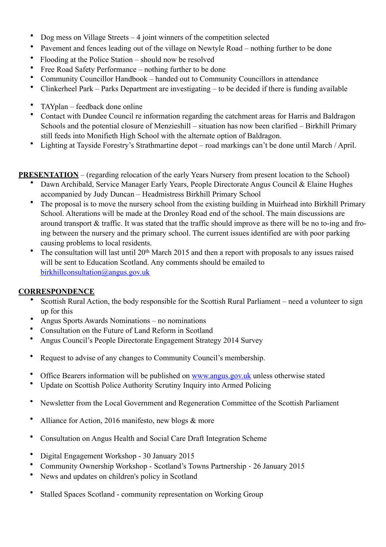- Dog mess on Village Streets 4 joint winners of the competition selected
- Pavement and fences leading out of the village on Newtyle Road nothing further to be done
- Flooding at the Police Station should now be resolved
- Free Road Safety Performance nothing further to be done
- Community Councillor Handbook handed out to Community Councillors in attendance
- Clinkerheel Park Parks Department are investigating to be decided if there is funding available
- TAYplan feedback done online
- Contact with Dundee Council re information regarding the catchment areas for Harris and Baldragon Schools and the potential closure of Menzieshill – situation has now been clarified – Birkhill Primary still feeds into Monifieth High School with the alternate option of Baldragon.
- Lighting at Tayside Forestry's Strathmartine depot road markings can't be done until March / April.

**PRESENTATION** – (regarding relocation of the early Years Nursery from present location to the School)

- Dawn Archibald, Service Manager Early Years, People Directorate Angus Council & Elaine Hughes accompanied by Judy Duncan – Headmistress Birkhill Primary School
- The proposal is to move the nursery school from the existing building in Muirhead into Birkhill Primary School. Alterations will be made at the Dronley Road end of the school. The main discussions are around transport & traffic. It was stated that the traffic should improve as there will be no to-ing and froing between the nursery and the primary school. The current issues identified are with poor parking causing problems to local residents.
- The consultation will last until  $20<sup>th</sup>$  March 2015 and then a report with proposals to any issues raised will be sent to Education Scotland. Any comments should be emailed to [birkhillconsultation@angus.gov.uk](mailto:birkhillconsultation@angus.gov.uk)

# **CORRESPONDENCE**

- Scottish Rural Action, the body responsible for the Scottish Rural Parliament need a volunteer to sign up for this
- Angus Sports Awards Nominations no nominations
- Consultation on the Future of Land Reform in Scotland
- Angus Council's People Directorate Engagement Strategy 2014 Survey
- Request to advise of any changes to Community Council's membership.
- Office Bearers information will be published on [www.angus.gov.uk](http://www.angus.gov.uk/) unless otherwise stated
- Update on Scottish Police Authority Scrutiny Inquiry into Armed Policing
- Newsletter from the Local Government and Regeneration Committee of the Scottish Parliament
- Alliance for Action, 2016 manifesto, new blogs & more
- Consultation on Angus Health and Social Care Draft Integration Scheme
- Digital Engagement Workshop 30 January 2015
- Community Ownership Workshop Scotland's Towns Partnership 26 January 2015
- News and updates on children's policy in Scotland
- Stalled Spaces Scotland community representation on Working Group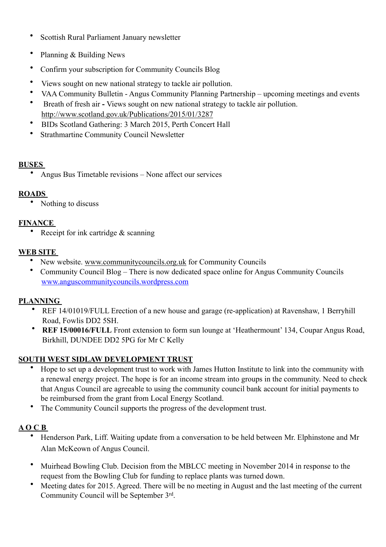- Scottish Rural Parliament January newsletter
- Planning & Building News
- Confirm your subscription for Community Councils Blog
- Views sought on new national strategy to tackle air pollution.
- VAA Community Bulletin Angus Community Planning Partnership upcoming meetings and events
- Breath of fresh airViews sought on new national strategy to tackle air pollution. <http://www.scotland.gov.uk/Publications/2015/01/3287>
- BIDs Scotland Gathering: 3 March 2015, Perth Concert Hall
- Strathmartine Community Council Newsletter

#### **BUSES**

• Angus Bus Timetable revisions – None affect our services

#### **ROADS**

• Nothing to discuss

#### **FINANCE**

• Receipt for ink cartridge & scanning

#### **WEB SITE**

- New website. [www.communitycouncils.org.uk](http://www.communitycouncils.org.uk) for Community Councils
- Community Council Blog There is now dedicated space online for Angus Community Councils [www.anguscommunitycouncils.wordpress.com](http://www.anguscommunitycouncils.wordpress.com/)

#### **PLANNING**

- REF 14/01019/FULL Erection of a new house and garage (re-application) at Ravenshaw, 1 Berryhill Road, Fowlis DD2 5SH.
- **REF 15/00016/FULL** Front extension to form sun lounge at 'Heathermount' 134, Coupar Angus Road, Birkhill, DUNDEE DD2 5PG for Mr C Kelly

#### **SOUTH WEST SIDLAW DEVELOPMENT TRUST**

- Hope to set up a development trust to work with James Hutton Institute to link into the community with a renewal energy project. The hope is for an income stream into groups in the community. Need to check that Angus Council are agreeable to using the community council bank account for initial payments to be reimbursed from the grant from Local Energy Scotland.
- The Community Council supports the progress of the development trust.

# **A O C B**

- Henderson Park, Liff. Waiting update from a conversation to be held between Mr. Elphinstone and Mr Alan McKeown of Angus Council.
- Muirhead Bowling Club. Decision from the MBLCC meeting in November 2014 in response to the request from the Bowling Club for funding to replace plants was turned down.
- Meeting dates for 2015. Agreed. There will be no meeting in August and the last meeting of the current Community Council will be September 3rd.